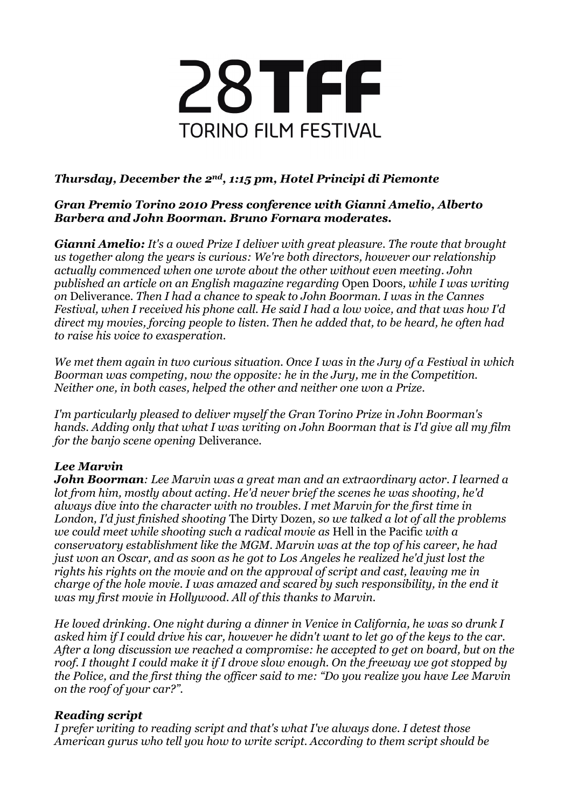

## *Thursday, December the 2nd, 1:15 pm, Hotel Principi di Piemonte*

#### *Gran Premio Torino 2010 Press conference with Gianni Amelio, Alberto Barbera and John Boorman. Bruno Fornara moderates.*

*Gianni Amelio: It's a owed Prize I deliver with great pleasure. The route that brought us together along the years is curious: We're both directors, however our relationship actually commenced when one wrote about the other without even meeting. John published an article on an English magazine regarding* Open Doors*, while I was writing on* Deliverance*. Then I had a chance to speak to John Boorman. I was in the Cannes Festival, when I received his phone call. He said I had a low voice, and that was how I'd direct my movies, forcing people to listen. Then he added that, to be heard, he often had to raise his voice to exasperation.*

*We met them again in two curious situation. Once I was in the Jury of a Festival in which Boorman was competing, now the opposite: he in the Jury, me in the Competition. Neither one, in both cases, helped the other and neither one won a Prize.*

*I'm particularly pleased to deliver myself the Gran Torino Prize in John Boorman's hands. Adding only that what I was writing on John Boorman that is I'd give all my film for the banjo scene opening* Deliverance.

### *Lee Marvin*

*John Boorman: Lee Marvin was a great man and an extraordinary actor. I learned a lot from him, mostly about acting. He'd never brief the scenes he was shooting, he'd always dive into the character with no troubles. I met Marvin for the first time in London, I'd just finished shooting* The Dirty Dozen*, so we talked a lot of all the problems we could meet while shooting such a radical movie as* Hell in the Pacific *with a conservatory establishment like the MGM. Marvin was at the top of his career, he had just won an Oscar, and as soon as he got to Los Angeles he realized he'd just lost the rights his rights on the movie and on the approval of script and cast, leaving me in charge of the hole movie. I was amazed and scared by such responsibility, in the end it was my first movie in Hollywood. All of this thanks to Marvin.*

*He loved drinking. One night during a dinner in Venice in California, he was so drunk I asked him if I could drive his car, however he didn't want to let go of the keys to the car. After a long discussion we reached a compromise: he accepted to get on board, but on the roof. I thought I could make it if I drove slow enough. On the freeway we got stopped by the Police, and the first thing the officer said to me: "Do you realize you have Lee Marvin on the roof of your car?".*

### *Reading script*

*I prefer writing to reading script and that's what I've always done. I detest those American gurus who tell you how to write script. According to them script should be*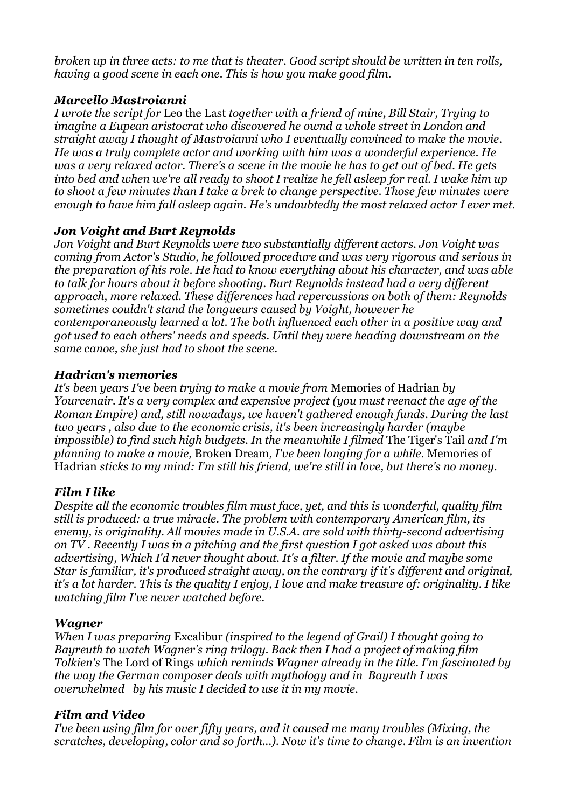*broken up in three acts: to me that is theater. Good script should be written in ten rolls, having a good scene in each one. This is how you make good film.*

## *Marcello Mastroianni*

*I wrote the script for* Leo the Last *together with a friend of mine, Bill Stair, Trying to imagine a Eupean aristocrat who discovered he ownd a whole street in London and straight away I thought of Mastroianni who I eventually convinced to make the movie. He was a truly complete actor and working with him was a wonderful experience. He was a very relaxed actor. There's a scene in the movie he has to get out of bed. He gets into bed and when we're all ready to shoot I realize he fell asleep for real. I wake him up to shoot a few minutes than I take a brek to change perspective. Those few minutes were enough to have him fall asleep again. He's undoubtedly the most relaxed actor I ever met.*

## *Jon Voight and Burt Reynolds*

*Jon Voight and Burt Reynolds were two substantially different actors. Jon Voight was coming from Actor's Studio, he followed procedure and was very rigorous and serious in the preparation of his role. He had to know everything about his character, and was able to talk for hours about it before shooting. Burt Reynolds instead had a very different approach, more relaxed. These differences had repercussions on both of them: Reynolds sometimes couldn't stand the longueurs caused by Voight, however he contemporaneously learned a lot. The both influenced each other in a positive way and got used to each others' needs and speeds. Until they were heading downstream on the same canoe, she just had to shoot the scene.*

### *Hadrian's memories*

*It's been years I've been trying to make a movie from* Memories of Hadrian *by Yourcenair. It's a very complex and expensive project (you must reenact the age of the Roman Empire) and, still nowadays, we haven't gathered enough funds. During the last two years , also due to the economic crisis, it's been increasingly harder (maybe impossible) to find such high budgets. In the meanwhile I filmed The Tiger's Tail and I'm planning to make a movie,* Broken Dream*, I've been longing for a while.* Memories of Hadrian *sticks to my mind: I'm still his friend, we're still in love, but there's no money.*

# *Film I like*

*Despite all the economic troubles film must face, yet, and this is wonderful, quality film still is produced: a true miracle. The problem with contemporary American film, its enemy, is originality. All movies made in U.S.A. are sold with thirty-second advertising on TV . Recently I was in a pitching and the first question I got asked was about this advertising, Which I'd never thought about. It's a filter. If the movie and maybe some Star is familiar, it's produced straight away, on the contrary if it's different and original, it's a lot harder. This is the quality I enjoy, I love and make treasure of: originality. I like watching film I've never watched before.*

### *Wagner*

*When I was preparing* Excalibur *(inspired to the legend of Grail) I thought going to Bayreuth to watch Wagner's ring trilogy. Back then I had a project of making film Tolkien's* The Lord of Rings *which reminds Wagner already in the title. I'm fascinated by the way the German composer deals with mythology and in Bayreuth I was overwhelmed by his music I decided to use it in my movie.*

### *Film and Video*

*I've been using film for over fifty years, and it caused me many troubles (Mixing, the scratches, developing, color and so forth...). Now it's time to change. Film is an invention*